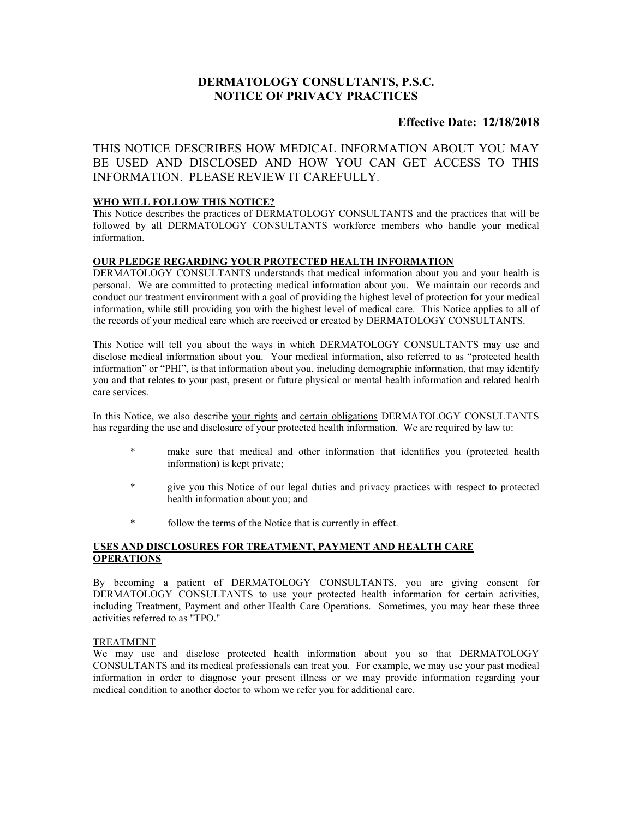# DERMATOLOGY CONSULTANTS, P.S.C. NOTICE OF PRIVACY PRACTICES

# Effective Date: 12/18/2018

THIS NOTICE DESCRIBES HOW MEDICAL INFORMATION ABOUT YOU MAY BE USED AND DISCLOSED AND HOW YOU CAN GET ACCESS TO THIS INFORMATION. PLEASE REVIEW IT CAREFULLY.

# WHO WILL FOLLOW THIS NOTICE?

This Notice describes the practices of DERMATOLOGY CONSULTANTS and the practices that will be followed by all DERMATOLOGY CONSULTANTS workforce members who handle your medical information.

## OUR PLEDGE REGARDING YOUR PROTECTED HEALTH INFORMATION

DERMATOLOGY CONSULTANTS understands that medical information about you and your health is personal. We are committed to protecting medical information about you. We maintain our records and conduct our treatment environment with a goal of providing the highest level of protection for your medical information, while still providing you with the highest level of medical care. This Notice applies to all of the records of your medical care which are received or created by DERMATOLOGY CONSULTANTS.

This Notice will tell you about the ways in which DERMATOLOGY CONSULTANTS may use and disclose medical information about you. Your medical information, also referred to as "protected health information" or "PHI", is that information about you, including demographic information, that may identify you and that relates to your past, present or future physical or mental health information and related health care services.

In this Notice, we also describe your rights and certain obligations DERMATOLOGY CONSULTANTS has regarding the use and disclosure of your protected health information. We are required by law to:

- make sure that medical and other information that identifies you (protected health information) is kept private;
- give you this Notice of our legal duties and privacy practices with respect to protected health information about you; and
- follow the terms of the Notice that is currently in effect.

# USES AND DISCLOSURES FOR TREATMENT, PAYMENT AND HEALTH CARE **OPERATIONS**

By becoming a patient of DERMATOLOGY CONSULTANTS, you are giving consent for DERMATOLOGY CONSULTANTS to use your protected health information for certain activities, including Treatment, Payment and other Health Care Operations. Sometimes, you may hear these three activities referred to as "TPO."

### TREATMENT

We may use and disclose protected health information about you so that DERMATOLOGY CONSULTANTS and its medical professionals can treat you. For example, we may use your past medical information in order to diagnose your present illness or we may provide information regarding your medical condition to another doctor to whom we refer you for additional care.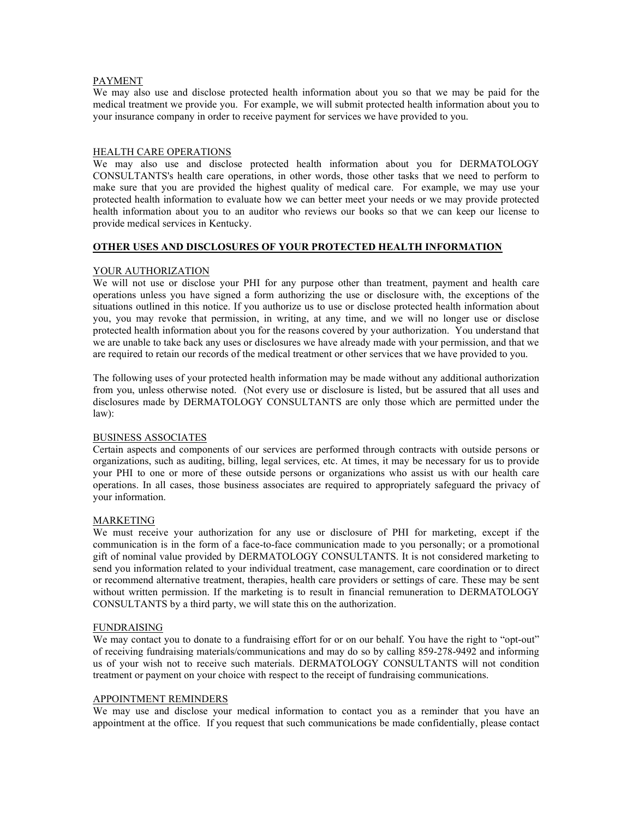### PAYMENT

We may also use and disclose protected health information about you so that we may be paid for the medical treatment we provide you. For example, we will submit protected health information about you to your insurance company in order to receive payment for services we have provided to you.

### HEALTH CARE OPERATIONS

We may also use and disclose protected health information about you for DERMATOLOGY CONSULTANTS's health care operations, in other words, those other tasks that we need to perform to make sure that you are provided the highest quality of medical care. For example, we may use your protected health information to evaluate how we can better meet your needs or we may provide protected health information about you to an auditor who reviews our books so that we can keep our license to provide medical services in Kentucky.

### OTHER USES AND DISCLOSURES OF YOUR PROTECTED HEALTH INFORMATION

### YOUR AUTHORIZATION

We will not use or disclose your PHI for any purpose other than treatment, payment and health care operations unless you have signed a form authorizing the use or disclosure with, the exceptions of the situations outlined in this notice. If you authorize us to use or disclose protected health information about you, you may revoke that permission, in writing, at any time, and we will no longer use or disclose protected health information about you for the reasons covered by your authorization. You understand that we are unable to take back any uses or disclosures we have already made with your permission, and that we are required to retain our records of the medical treatment or other services that we have provided to you.

The following uses of your protected health information may be made without any additional authorization from you, unless otherwise noted. (Not every use or disclosure is listed, but be assured that all uses and disclosures made by DERMATOLOGY CONSULTANTS are only those which are permitted under the law):

### BUSINESS ASSOCIATES

Certain aspects and components of our services are performed through contracts with outside persons or organizations, such as auditing, billing, legal services, etc. At times, it may be necessary for us to provide your PHI to one or more of these outside persons or organizations who assist us with our health care operations. In all cases, those business associates are required to appropriately safeguard the privacy of your information.

### MARKETING

We must receive your authorization for any use or disclosure of PHI for marketing, except if the communication is in the form of a face-to-face communication made to you personally; or a promotional gift of nominal value provided by DERMATOLOGY CONSULTANTS. It is not considered marketing to send you information related to your individual treatment, case management, care coordination or to direct or recommend alternative treatment, therapies, health care providers or settings of care. These may be sent without written permission. If the marketing is to result in financial remuneration to DERMATOLOGY CONSULTANTS by a third party, we will state this on the authorization.

### FUNDRAISING

We may contact you to donate to a fundraising effort for or on our behalf. You have the right to "opt-out" of receiving fundraising materials/communications and may do so by calling 859-278-9492 and informing us of your wish not to receive such materials. DERMATOLOGY CONSULTANTS will not condition treatment or payment on your choice with respect to the receipt of fundraising communications.

### APPOINTMENT REMINDERS

We may use and disclose your medical information to contact you as a reminder that you have an appointment at the office. If you request that such communications be made confidentially, please contact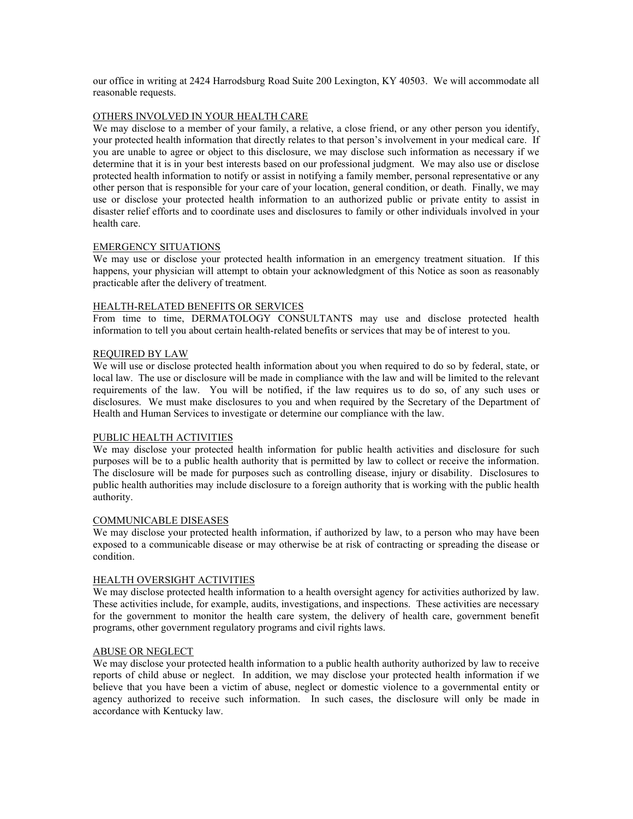our office in writing at 2424 Harrodsburg Road Suite 200 Lexington, KY 40503. We will accommodate all reasonable requests.

## OTHERS INVOLVED IN YOUR HEALTH CARE

We may disclose to a member of your family, a relative, a close friend, or any other person you identify, your protected health information that directly relates to that person's involvement in your medical care. If you are unable to agree or object to this disclosure, we may disclose such information as necessary if we determine that it is in your best interests based on our professional judgment. We may also use or disclose protected health information to notify or assist in notifying a family member, personal representative or any other person that is responsible for your care of your location, general condition, or death. Finally, we may use or disclose your protected health information to an authorized public or private entity to assist in disaster relief efforts and to coordinate uses and disclosures to family or other individuals involved in your health care.

### EMERGENCY SITUATIONS

We may use or disclose your protected health information in an emergency treatment situation. If this happens, your physician will attempt to obtain your acknowledgment of this Notice as soon as reasonably practicable after the delivery of treatment.

### HEALTH-RELATED BENEFITS OR SERVICES

From time to time, DERMATOLOGY CONSULTANTS may use and disclose protected health information to tell you about certain health-related benefits or services that may be of interest to you.

### REQUIRED BY LAW

We will use or disclose protected health information about you when required to do so by federal, state, or local law. The use or disclosure will be made in compliance with the law and will be limited to the relevant requirements of the law. You will be notified, if the law requires us to do so, of any such uses or disclosures. We must make disclosures to you and when required by the Secretary of the Department of Health and Human Services to investigate or determine our compliance with the law.

### PUBLIC HEALTH ACTIVITIES

We may disclose your protected health information for public health activities and disclosure for such purposes will be to a public health authority that is permitted by law to collect or receive the information. The disclosure will be made for purposes such as controlling disease, injury or disability. Disclosures to public health authorities may include disclosure to a foreign authority that is working with the public health authority.

#### COMMUNICABLE DISEASES

We may disclose your protected health information, if authorized by law, to a person who may have been exposed to a communicable disease or may otherwise be at risk of contracting or spreading the disease or condition.

### HEALTH OVERSIGHT ACTIVITIES

We may disclose protected health information to a health oversight agency for activities authorized by law. These activities include, for example, audits, investigations, and inspections. These activities are necessary for the government to monitor the health care system, the delivery of health care, government benefit programs, other government regulatory programs and civil rights laws.

## ABUSE OR NEGLECT

We may disclose your protected health information to a public health authority authorized by law to receive reports of child abuse or neglect. In addition, we may disclose your protected health information if we believe that you have been a victim of abuse, neglect or domestic violence to a governmental entity or agency authorized to receive such information. In such cases, the disclosure will only be made in accordance with Kentucky law.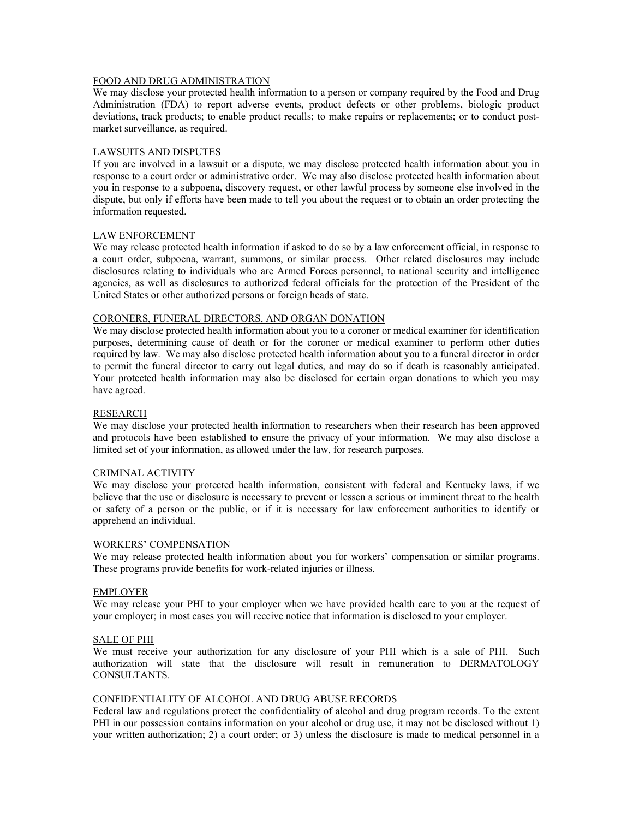### FOOD AND DRUG ADMINISTRATION

We may disclose your protected health information to a person or company required by the Food and Drug Administration (FDA) to report adverse events, product defects or other problems, biologic product deviations, track products; to enable product recalls; to make repairs or replacements; or to conduct postmarket surveillance, as required.

### LAWSUITS AND DISPUTES

If you are involved in a lawsuit or a dispute, we may disclose protected health information about you in response to a court order or administrative order. We may also disclose protected health information about you in response to a subpoena, discovery request, or other lawful process by someone else involved in the dispute, but only if efforts have been made to tell you about the request or to obtain an order protecting the information requested.

### LAW ENFORCEMENT

We may release protected health information if asked to do so by a law enforcement official, in response to a court order, subpoena, warrant, summons, or similar process. Other related disclosures may include disclosures relating to individuals who are Armed Forces personnel, to national security and intelligence agencies, as well as disclosures to authorized federal officials for the protection of the President of the United States or other authorized persons or foreign heads of state.

### CORONERS, FUNERAL DIRECTORS, AND ORGAN DONATION

We may disclose protected health information about you to a coroner or medical examiner for identification purposes, determining cause of death or for the coroner or medical examiner to perform other duties required by law. We may also disclose protected health information about you to a funeral director in order to permit the funeral director to carry out legal duties, and may do so if death is reasonably anticipated. Your protected health information may also be disclosed for certain organ donations to which you may have agreed.

#### RESEARCH

We may disclose your protected health information to researchers when their research has been approved and protocols have been established to ensure the privacy of your information. We may also disclose a limited set of your information, as allowed under the law, for research purposes.

#### CRIMINAL ACTIVITY

We may disclose your protected health information, consistent with federal and Kentucky laws, if we believe that the use or disclosure is necessary to prevent or lessen a serious or imminent threat to the health or safety of a person or the public, or if it is necessary for law enforcement authorities to identify or apprehend an individual.

#### WORKERS' COMPENSATION

We may release protected health information about you for workers' compensation or similar programs. These programs provide benefits for work-related injuries or illness.

#### EMPLOYER

We may release your PHI to your employer when we have provided health care to you at the request of your employer; in most cases you will receive notice that information is disclosed to your employer.

#### SALE OF PHI

We must receive your authorization for any disclosure of your PHI which is a sale of PHI. Such authorization will state that the disclosure will result in remuneration to DERMATOLOGY CONSULTANTS.

### CONFIDENTIALITY OF ALCOHOL AND DRUG ABUSE RECORDS

Federal law and regulations protect the confidentiality of alcohol and drug program records. To the extent PHI in our possession contains information on your alcohol or drug use, it may not be disclosed without 1) your written authorization; 2) a court order; or 3) unless the disclosure is made to medical personnel in a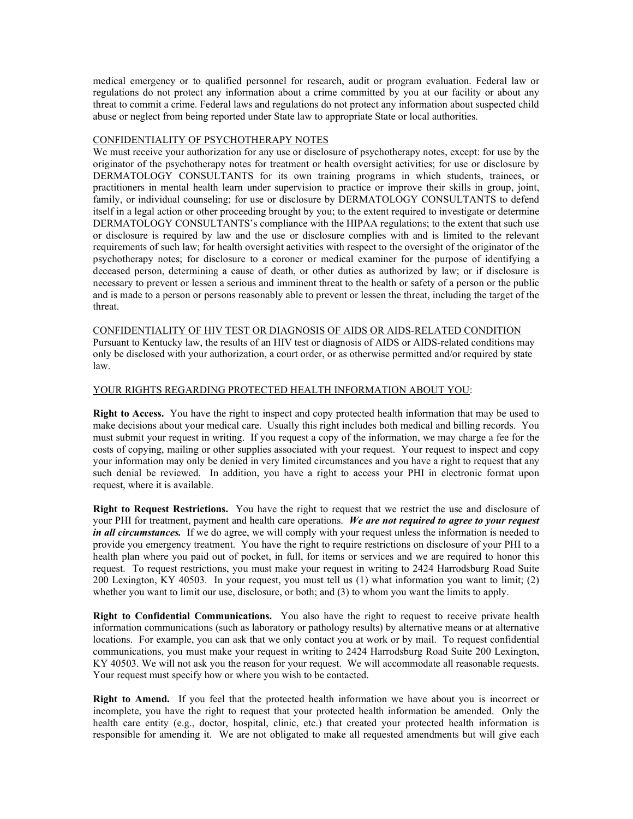medical emergency or to qualified personnel for research, audit or program evaluation. Federal law or regulations do not protect any information about a crime committed by you at our facility or about any threat to commit a crime. Federal laws and regulations do not protect any information about suspected child abuse or neglect from being reported under State law to appropriate State or local authorities.

### CONFIDENTIALITY OF PSYCHOTHERAPY NOTES

We must receive your authorization for any use or disclosure of psychotherapy notes, except: for use by the originator of the psychotherapy notes for treatment or health oversight activities; for use or disclosure by DERMATOLOGY CONSULTANTS for its own training programs in which students, trainees, or practitioners in mental health learn under supervision to practice or improve their skills in group, joint, family, or individual counseling; for use or disclosure by DERMATOLOGY CONSULTANTS to defend itself in a legal action or other proceeding brought by you; to the extent required to investigate or determine DERMATOLOGY CONSULTANTS's compliance with the HIPAA regulations; to the extent that such use or disclosure is required by law and the use or disclosure complies with and is limited to the relevant requirements of such law; for health oversight activities with respect to the oversight of the originator of the psychotherapy notes; for disclosure to a coroner or medical examiner for the purpose of identifying a deceased person, determining a cause of death, or other duties as authorized by law; or if disclosure is necessary to prevent or lessen a serious and imminent threat to the health or safety of a person or the public and is made to a person or persons reasonably able to prevent or lessen the threat, including the target of the threat.

CONFIDENTIALITY OF HIV TEST OR DIAGNOSIS OF AIDS OR AIDS-RELATED CONDITION Pursuant to Kentucky law, the results of an HIV test or diagnosis of AIDS or AIDS-related conditions may only be disclosed with your authorization, a court order, or as otherwise permitted and/or required by state law.

### YOUR RIGHTS REGARDING PROTECTED HEALTH INFORMATION ABOUT YOU:

Right to Access. You have the right to inspect and copy protected health information that may be used to make decisions about your medical care. Usually this right includes both medical and billing records. You must submit your request in writing. If you request a copy of the information, we may charge a fee for the costs of copying, mailing or other supplies associated with your request. Your request to inspect and copy your information may only be denied in very limited circumstances and you have a right to request that any such denial be reviewed. In addition, you have a right to access your PHI in electronic format upon request, where it is available.

Right to Request Restrictions. You have the right to request that we restrict the use and disclosure of your PHI for treatment, payment and health care operations. We are not required to agree to your request in all circumstances. If we do agree, we will comply with your request unless the information is needed to provide you emergency treatment. You have the right to require restrictions on disclosure of your PHI to a health plan where you paid out of pocket, in full, for items or services and we are required to honor this request. To request restrictions, you must make your request in writing to 2424 Harrodsburg Road Suite 200 Lexington, KY 40503. In your request, you must tell us (1) what information you want to limit; (2) whether you want to limit our use, disclosure, or both; and (3) to whom you want the limits to apply.

Right to Confidential Communications. You also have the right to request to receive private health information communications (such as laboratory or pathology results) by alternative means or at alternative locations. For example, you can ask that we only contact you at work or by mail. To request confidential communications, you must make your request in writing to 2424 Harrodsburg Road Suite 200 Lexington, KY 40503. We will not ask you the reason for your request. We will accommodate all reasonable requests. Your request must specify how or where you wish to be contacted.

Right to Amend. If you feel that the protected health information we have about you is incorrect or incomplete, you have the right to request that your protected health information be amended. Only the health care entity (e.g., doctor, hospital, clinic, etc.) that created your protected health information is responsible for amending it. We are not obligated to make all requested amendments but will give each